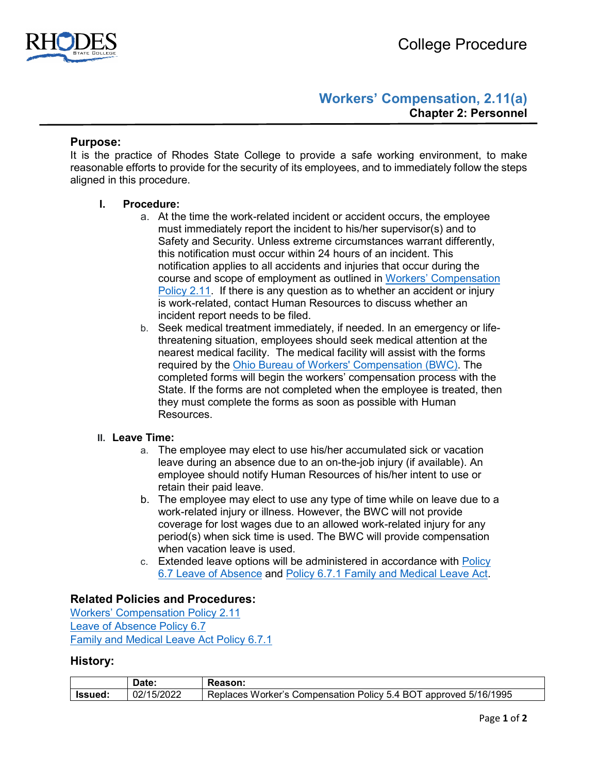

# **Workers' Compensation, 2.11(a) Chapter 2: Personnel**

### **Purpose:**

It is the practice of Rhodes State College to provide a safe working environment, to make reasonable efforts to provide for the security of its employees, and to immediately follow the steps aligned in this procedure.

#### **I. Procedure:**

- a. At the time the work-related incident or accident occurs, the employee must immediately report the incident to his/her supervisor(s) and to Safety and Security. Unless extreme circumstances warrant differently, this notification must occur within 24 hours of an incident. This notification applies to all accidents and injuries that occur during the course and scope of employment as outlined in [Workers' Compensation](https://www.rhodesstate.edu/_files/documents/policies-and-procedures/workers-compensation.pdf)  [Policy 2.11.](https://www.rhodesstate.edu/_files/documents/policies-and-procedures/workers-compensation.pdf) If there is any question as to whether an accident or injury is work-related, contact Human Resources to discuss whether an incident report needs to be filed.
- b. Seek medical treatment immediately, if needed. In an emergency or lifethreatening situation, employees should seek medical attention at the nearest medical facility. The medical facility will assist with the forms required by the [Ohio Bureau of Workers' Compensation \(BWC\).](https://info.bwc.ohio.gov/wps/portal/gov/bwc) The completed forms will begin the workers' compensation process with the State. If the forms are not completed when the employee is treated, then they must complete the forms as soon as possible with Human Resources.

#### **II. Leave Time:**

- a. The employee may elect to use his/her accumulated sick or vacation leave during an absence due to an on-the-job injury (if available). An employee should notify Human Resources of his/her intent to use or retain their paid leave.
- b. The employee may elect to use any type of time while on leave due to a work-related injury or illness. However, the BWC will not provide coverage for lost wages due to an allowed work-related injury for any period(s) when sick time is used. The BWC will provide compensation when vacation leave is used.
- c. Extended leave options will be administered in accordance with [Policy](https://www.rhodesstate.edu/_files/documents/policies-and-procedures/leave-of-absence.pdf)  [6.7 Leave of Absence](https://www.rhodesstate.edu/_files/documents/policies-and-procedures/leave-of-absence.pdf) and [Policy 6.7.1 Family and Medical Leave Act.](https://www.rhodesstate.edu/_files/documents/policies-and-procedures/family-and-medical-leave-act.pdf)

# **Related Policies and Procedures:**

[Workers' Compensation Policy 2.11](https://www.rhodesstate.edu/_files/documents/policies-and-procedures/workers-compensation.pdf) [Leave of Absence Policy 6.7](https://www.rhodesstate.edu/_files/documents/policies-and-procedures/leave-of-absence.pdf) [Family and Medical Leave Act Policy 6.7.1](https://www.rhodesstate.edu/_files/documents/policies-and-procedures/family-and-medical-leave-act.pdf)

## **History:**

|         | 1ata<br>υαισ.          | Reason:                                                                        |
|---------|------------------------|--------------------------------------------------------------------------------|
| Issued. | 15/2022<br>22/1.<br>◡∠ | 5/16/1995<br>Compensation Policy 5.4 BOT<br>Replaces<br>Worker's C<br>approved |